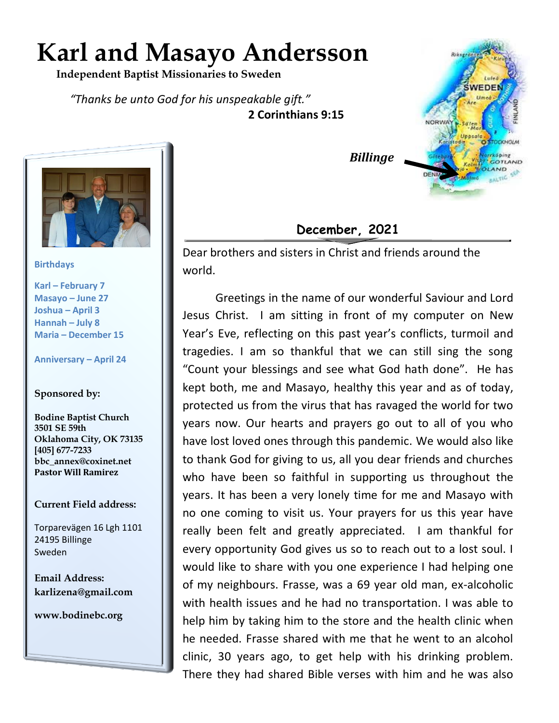## **Karl and Masayo Andersson**

 **Independent Baptist Missionaries to Sweden**

*"Thanks be unto God for his unspeakable gift."*  **2 Corinthians 9:15**



**Birthdays**

**Karl – February 7 Masayo – June 27 Joshua – April 3 Hannah – July 8 Maria – December 15**

**Anniversary – April 24**

## **Sponsored by:**

**Bodine Baptist Church 3501 SE 59th Oklahoma City, OK 73135 [405] 677-7233 bbc\_annex@coxinet.net Pastor Will Ramirez**

## **Current Field address:**

Torparevägen 16 Lgh 1101 24195 Billinge Sweden

**Email Address: karlizena@gmail.com**

**www.bodinebc.org**



 *Billinge*

## **December, 2021**

Dear brothers and sisters in Christ and friends around the world.

Greetings in the name of our wonderful Saviour and Lord Jesus Christ. I am sitting in front of my computer on New Year's Eve, reflecting on this past year's conflicts, turmoil and tragedies. I am so thankful that we can still sing the song "Count your blessings and see what God hath done". He has kept both, me and Masayo, healthy this year and as of today, protected us from the virus that has ravaged the world for two years now. Our hearts and prayers go out to all of you who have lost loved ones through this pandemic. We would also like to thank God for giving to us, all you dear friends and churches who have been so faithful in supporting us throughout the years. It has been a very lonely time for me and Masayo with no one coming to visit us. Your prayers for us this year have really been felt and greatly appreciated. I am thankful for every opportunity God gives us so to reach out to a lost soul. I would like to share with you one experience I had helping one of my neighbours. Frasse, was a 69 year old man, ex-alcoholic with health issues and he had no transportation. I was able to help him by taking him to the store and the health clinic when he needed. Frasse shared with me that he went to an alcohol clinic, 30 years ago, to get help with his drinking problem. There they had shared Bible verses with him and he was also